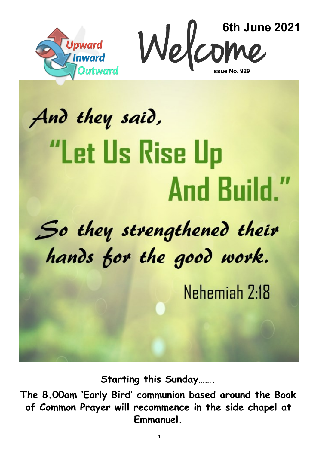



# And they said, **"Let Us Rise Up And Build."**

# So they strengthened their hands for the good work.

Nehemiah 2:18

**Starting this Sunday…….**

**The 8.00am 'Early Bird' communion based around the Book of Common Prayer will recommence in the side chapel at Emmanuel.**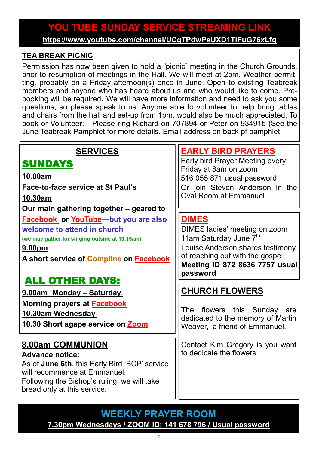# **YOU TUBE SUNDAY SERVICE STREAMING LINK YOU TUBE SUNDAY SERVICE STREAMING LINK**

**[https://www.youtube.com/channel/UCqTPdwPeUXD1TIFuG76xLfg](https://nam12.safelinks.protection.outlook.com/?url=https%3A%2F%2Fwww.youtube.com%2Fchannel%2FUCqTPdwPeUXD1TIFuG76xLfg&data=04%7C01%7C%7C98819de32b254e54143f08d89b609eed%7C84df9e7fe9f640afb435aaaaaaaaaaaa%7C1%7C0%7C637430186562964999%7CUnknown%7CTWFpbGZsb3d8e) <https://www.youtube.com/channel/UCqTPdwPeUXD1TIFuG76xLfg>**

#### **TEA BREAK PICNIC**

Permission has now been given to hold a "picnic" meeting in the Church Grounds, prior to resumption of meetings in the Hall. We will meet at 2pm. Weather permitting, probably on a Friday afternoon(s) once in June. Open to existing Teabreak members and anyone who has heard about us and who would like to come. Prebooking will be required**.** We will have more information and need to ask you some questions, so please speak to us. Anyone able to volunteer to help bring tables and chairs from the hall and set-up from 1pm, would also be much appreciated. To book or Volunteer: - Please ring Richard on 707894 or Peter on 934915 (See the June Teabreak Pamphlet for more details. Email address on back pf pamphlet.

# **SERVICES**

# **SUNDAYS**

#### **10.00am**

**Face-to-face service at St Paul's** 

**10.30am**

**Our main gathering together – geared to**

**[Facebook](https://www.facebook.com/emmanuelwithstpauls/) or [YouTube—](https://www.youtube.com/channel/UCqTPdwPeUXD1TIFuG76xLfg)but you are also welcome to attend in church**

**(we may gather for singing outside at 10.15am)**

**9.00pm**

**A short service of [Compline](https://www.emmanuelplymouth.co.uk/Publisher/File.aspx?ID=259665) on [Facebook](https://www.facebook.com/emmanuelwithstpauls/)**

# ALL OTHER DAYS:

**9.00am Monday – Saturday**, **Morning prayers at [Facebook](https://www.facebook.com/emmanuelwithstpauls/) 10.30am Wednesday 10.30 Short agape service on [Zoom](https://us02web.zoom.us/j/87669471222?pwd=amNNVGJ4QmtIeFhlTlFmRTRTV29ndz09)**

# **8.00am COMMUNION**

**Advance notice:** As of **June 6th**, this Early Bird 'BCP' service will recommence at Emmanuel. Following the Bishop's ruling, we will take bread only at this service.

# **[EARLY BIRD PRAYERS](https://us02web.zoom.us/j/87286367757?pwd=d1RRYTVWNG5SMUNDMUhoRmY2RlNBUT09)**

Early bird Prayer Meeting every Friday at 8am on zoom 516 055 871 usual password Or join Steven Anderson in the Oval Room at Emmanuel

#### **[DIMES](https://us02web.zoom.us/j/87286367757?pwd=d1RRYTVWNG5SMUNDMUhoRmY2RlNBUT09)**

DIMES ladies' meeting on zoom 11am Saturday June  $\overline{7}^{\text{th}}$ . Louise Anderson shares testimony of reaching out with the gospel. **Meeting ID 872 8636 7757 usual password**

# **CHURCH FLOWERS**

The flowers this Sunday are dedicated to the memory of Martin Weaver, a friend of Emmanuel.

Contact Kim Gregory is you want to dedicate the flowers

#### **WEEKLY PRAYER ROOM [7.30pm Wednesdays / ZOOM ID: 141 678 796 / Usual password](https://us04web.zoom.us/j/141678796?pwd=VERURTVtcWQzbkZvdXFRMnJpKzg3dz09)**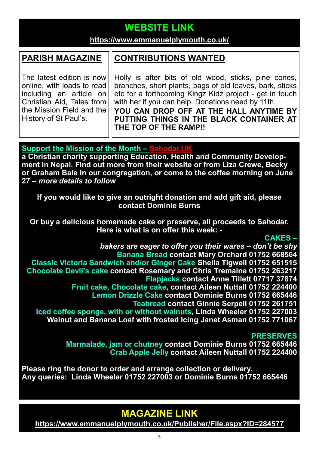# **WEBSITE LINK WEBSITE LINK**

# **https://www.emmanuelplymouth.co.uk/ <https://www.emmanuelplymouth.co.uk/>**

#### **PARISH MAGAZINE**

The latest edition is now online, with loads to read including an article on Christian Aid, Tales from the Mission Field and the History of St Paul's.

#### **CONTRIBUTIONS WANTED**

Holly is after bits of old wood, sticks, pine cones, branches, short plants, bags of old leaves, bark, sticks etc for a forthcoming Kingz Kidz project - get in touch with her if you can help. Donations need by 11th. **YOU CAN DROP OFF AT THE HALL ANYTIME BY PUTTING THINGS IN THE BLACK CONTAINER AT THE TOP OF THE RAMP!!** 

#### **Support the Mission of the Month – [Sahodar.UK](https://sahodaruk.weebly.com/)**

**a Christian charity supporting Education, Health and Community Development in Nepal. Find out more from their website or from Liza Crewe, Becky or Graham Bale in our congregation, or come to the coffee morning on June 27 –** *more details to follow*

**If you would like to give an outright donation and add gift aid, please contact Dominie Burns**

**Or buy a delicious homemade cake or preserve, all proceeds to Sahodar. Here is what is on offer this week: -**

#### **CAKES –**

*bakers are eager to offer you their wares – don't be shy* **Banana Bread contact Mary Orchard 01752 668564 Classic Victoria Sandwich and/or Ginger Cake Sheila Tigwell 01752 651515 Chocolate Devil's cake contact Rosemary and Chris Tremaine 01752 263217 Flapjacks contact Anne Tillett 07717 37874 Fruit cake, Chocolate cake, contact Aileen Nuttall 01752 224400 Lemon Drizzle Cake contact Dominie Burns 01752 665446 Teabread contact Ginnie Serpell 01752 261751 Iced coffee sponge, with or without walnuts, Linda Wheeler 01752 227003 Walnut and Banana Loaf with frosted Icing Janet Asman 01752 771067**

#### **PRESERVES**

**Marmalade, jam or chutney contact Dominie Burns 01752 665446 Crab Apple Jelly contact Aileen Nuttall 01752 224400**

**Please ring the donor to order and arrange collection or delivery. Any queries: Linda Wheeler 01752 227003 or Dominie Burns 01752 665446**

# **MAGAZINE LINK**

**<https://www.emmanuelplymouth.co.uk/Publisher/File.aspx?ID=284577>**